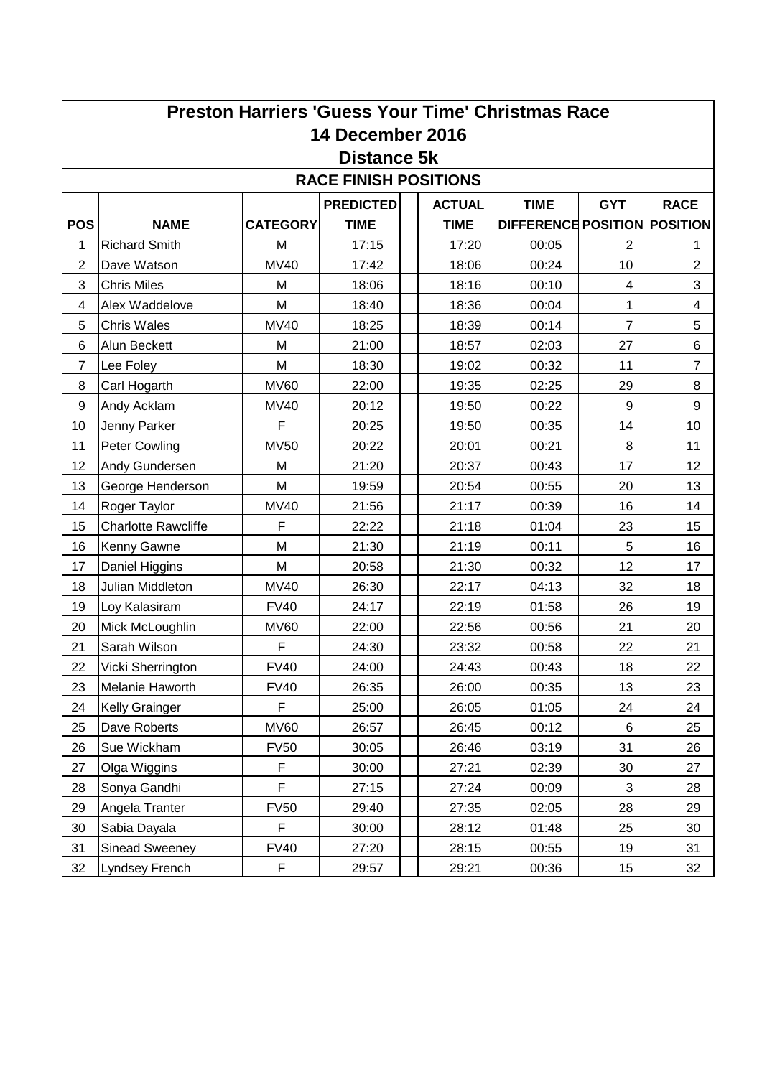| <b>Preston Harriers 'Guess Your Time' Christmas Race</b> |                            |                 |                  |  |               |                              |                |                  |  |  |  |  |  |
|----------------------------------------------------------|----------------------------|-----------------|------------------|--|---------------|------------------------------|----------------|------------------|--|--|--|--|--|
| <b>14 December 2016</b>                                  |                            |                 |                  |  |               |                              |                |                  |  |  |  |  |  |
| Distance 5k                                              |                            |                 |                  |  |               |                              |                |                  |  |  |  |  |  |
| <b>RACE FINISH POSITIONS</b>                             |                            |                 |                  |  |               |                              |                |                  |  |  |  |  |  |
|                                                          |                            |                 | <b>PREDICTED</b> |  | <b>ACTUAL</b> | <b>TIME</b>                  | <b>GYT</b>     | <b>RACE</b>      |  |  |  |  |  |
| <b>POS</b>                                               | <b>NAME</b>                | <b>CATEGORY</b> | <b>TIME</b>      |  | <b>TIME</b>   | DIFFERENCE POSITION POSITION |                |                  |  |  |  |  |  |
| 1                                                        | <b>Richard Smith</b>       | M               | 17:15            |  | 17:20         | 00:05                        | 2              | 1                |  |  |  |  |  |
| $\overline{2}$                                           | Dave Watson                | <b>MV40</b>     | 17:42            |  | 18:06         | 00:24                        | 10             | $\overline{2}$   |  |  |  |  |  |
| 3                                                        | <b>Chris Miles</b>         | M               | 18:06            |  | 18:16         | 00:10                        | $\overline{4}$ | 3                |  |  |  |  |  |
| 4                                                        | Alex Waddelove             | M               | 18:40            |  | 18:36         | 00:04                        | 1              | 4                |  |  |  |  |  |
| 5                                                        | <b>Chris Wales</b>         | <b>MV40</b>     | 18:25            |  | 18:39         | 00:14                        | $\overline{7}$ | 5                |  |  |  |  |  |
| 6                                                        | Alun Beckett               | М               | 21:00            |  | 18:57         | 02:03                        | 27             | 6                |  |  |  |  |  |
| $\overline{7}$                                           | Lee Foley                  | M               | 18:30            |  | 19:02         | 00:32                        | 11             | $\overline{7}$   |  |  |  |  |  |
| 8                                                        | Carl Hogarth               | <b>MV60</b>     | 22:00            |  | 19:35         | 02:25                        | 29             | 8                |  |  |  |  |  |
| 9                                                        | Andy Acklam                | <b>MV40</b>     | 20:12            |  | 19:50         | 00:22                        | 9              | $\boldsymbol{9}$ |  |  |  |  |  |
| 10                                                       | Jenny Parker               | F               | 20:25            |  | 19:50         | 00:35                        | 14             | 10               |  |  |  |  |  |
| 11                                                       | Peter Cowling              | <b>MV50</b>     | 20:22            |  | 20:01         | 00:21                        | 8              | 11               |  |  |  |  |  |
| 12                                                       | Andy Gundersen             | M               | 21:20            |  | 20:37         | 00:43                        | 17             | 12               |  |  |  |  |  |
| 13                                                       | George Henderson           | M               | 19:59            |  | 20:54         | 00:55                        | 20             | 13               |  |  |  |  |  |
| 14                                                       | Roger Taylor               | <b>MV40</b>     | 21:56            |  | 21:17         | 00:39                        | 16             | 14               |  |  |  |  |  |
| 15                                                       | <b>Charlotte Rawcliffe</b> | F               | 22:22            |  | 21:18         | 01:04                        | 23             | 15               |  |  |  |  |  |
| 16                                                       | Kenny Gawne                | M               | 21:30            |  | 21:19         | 00:11                        | 5              | 16               |  |  |  |  |  |
| 17                                                       | Daniel Higgins             | M               | 20:58            |  | 21:30         | 00:32                        | 12             | 17               |  |  |  |  |  |
| 18                                                       | Julian Middleton           | <b>MV40</b>     | 26:30            |  | 22:17         | 04:13                        | 32             | 18               |  |  |  |  |  |
| 19                                                       | Loy Kalasiram              | <b>FV40</b>     | 24:17            |  | 22:19         | 01:58                        | 26             | 19               |  |  |  |  |  |
| 20                                                       | Mick McLoughlin            | <b>MV60</b>     | 22:00            |  | 22:56         | 00:56                        | 21             | 20               |  |  |  |  |  |
| 21                                                       | Sarah Wilson               | F               | 24:30            |  | 23:32         | 00:58                        | 22             | 21               |  |  |  |  |  |
| 22                                                       | Vicki Sherrington          | <b>FV40</b>     | 24:00            |  | 24:43         | 00:43                        | 18             | 22               |  |  |  |  |  |
| 23                                                       | Melanie Haworth            | <b>FV40</b>     | 26:35            |  | 26:00         | 00:35                        | 13             | 23               |  |  |  |  |  |
| 24                                                       | Kelly Grainger             | F               | 25:00            |  | 26:05         | 01:05                        | 24             | 24               |  |  |  |  |  |
| 25                                                       | Dave Roberts               | <b>MV60</b>     | 26:57            |  | 26:45         | 00:12                        | 6              | 25               |  |  |  |  |  |
| 26                                                       | Sue Wickham                | <b>FV50</b>     | 30:05            |  | 26:46         | 03:19                        | 31             | 26               |  |  |  |  |  |
| 27                                                       | Olga Wiggins               | F               | 30:00            |  | 27:21         | 02:39                        | 30             | 27               |  |  |  |  |  |
| 28                                                       | Sonya Gandhi               | F               | 27:15            |  | 27:24         | 00:09                        | 3              | 28               |  |  |  |  |  |
| 29                                                       | Angela Tranter             | <b>FV50</b>     | 29:40            |  | 27:35         | 02:05                        | 28             | 29               |  |  |  |  |  |
| 30                                                       | Sabia Dayala               | F               | 30:00            |  | 28:12         | 01:48                        | 25             | 30               |  |  |  |  |  |
| 31                                                       | Sinead Sweeney             | <b>FV40</b>     | 27:20            |  | 28:15         | 00:55                        | 19             | 31               |  |  |  |  |  |
| 32                                                       | Lyndsey French             | F               | 29:57            |  | 29:21         | 00:36                        | 15             | 32               |  |  |  |  |  |